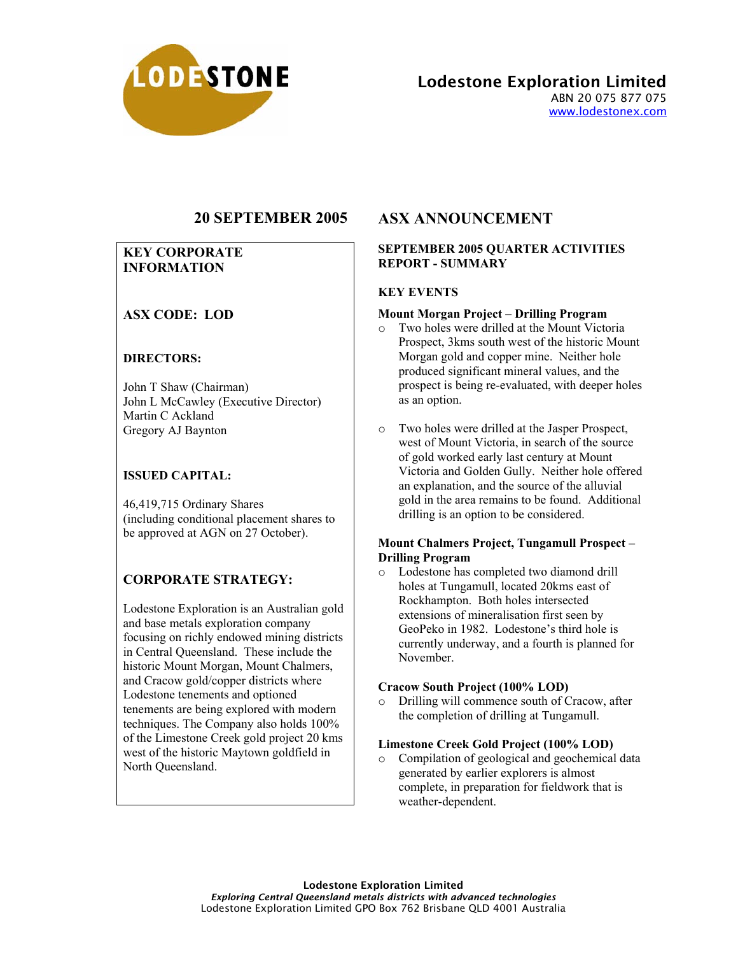

Lodestone Exploration Limited ABN 20 075 877 075 www.lodestonex.com

# **20 SEPTEMBER 2005**

## **KEY CORPORATE INFORMATION**

# **ASX CODE: LOD**

### **DIRECTORS:**

John T Shaw (Chairman) John L McCawley (Executive Director) Martin C Ackland Gregory AJ Baynton

### **ISSUED CAPITAL:**

46,419,715 Ordinary Shares (including conditional placement shares to be approved at AGN on 27 October).

# **CORPORATE STRATEGY:**

Lodestone Exploration is an Australian gold and base metals exploration company focusing on richly endowed mining districts in Central Queensland. These include the historic Mount Morgan, Mount Chalmers, and Cracow gold/copper districts where Lodestone tenements and optioned tenements are being explored with modern techniques. The Company also holds 100% of the Limestone Creek gold project 20 kms west of the historic Maytown goldfield in North Queensland.

# **ASX ANNOUNCEMENT**

#### **SEPTEMBER 2005 QUARTER ACTIVITIES REPORT - SUMMARY**

### **KEY EVENTS**

#### **Mount Morgan Project – Drilling Program**

- o Two holes were drilled at the Mount Victoria Prospect, 3kms south west of the historic Mount Morgan gold and copper mine. Neither hole produced significant mineral values, and the prospect is being re-evaluated, with deeper holes as an option.
- o Two holes were drilled at the Jasper Prospect, west of Mount Victoria, in search of the source of gold worked early last century at Mount Victoria and Golden Gully. Neither hole offered an explanation, and the source of the alluvial gold in the area remains to be found. Additional drilling is an option to be considered.

#### **Mount Chalmers Project, Tungamull Prospect – Drilling Program**

o Lodestone has completed two diamond drill holes at Tungamull, located 20kms east of Rockhampton. Both holes intersected extensions of mineralisation first seen by GeoPeko in 1982. Lodestone's third hole is currently underway, and a fourth is planned for November.

#### **Cracow South Project (100% LOD)**

o Drilling will commence south of Cracow, after the completion of drilling at Tungamull.

#### **Limestone Creek Gold Project (100% LOD)**

o Compilation of geological and geochemical data generated by earlier explorers is almost complete, in preparation for fieldwork that is weather-dependent.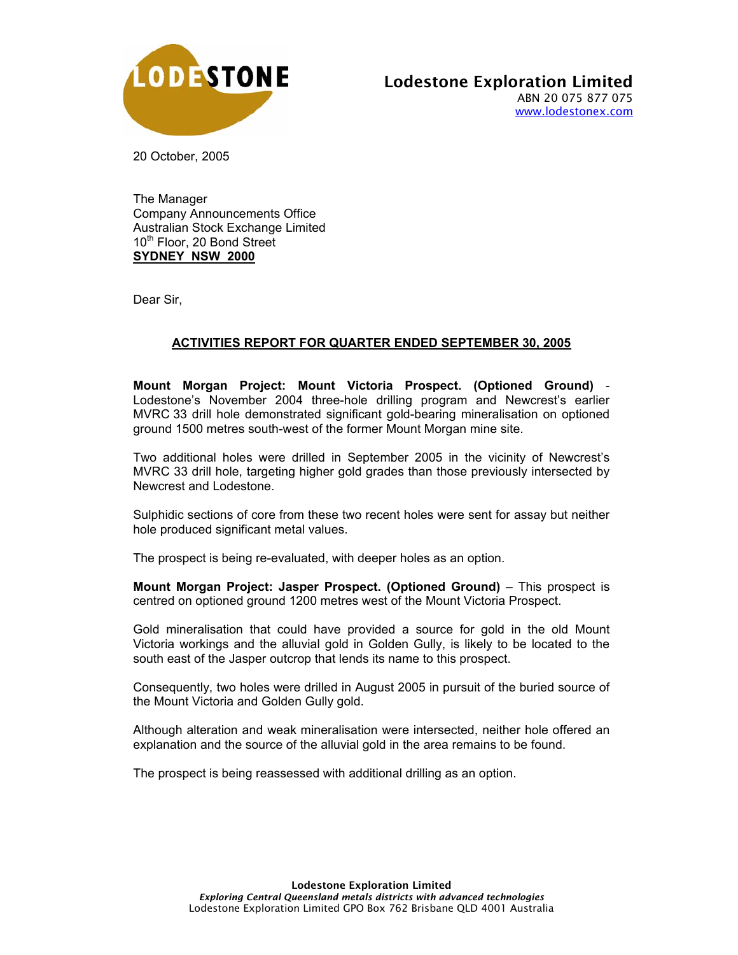

20 October, 2005

The Manager Company Announcements Office Australian Stock Exchange Limited 10<sup>th</sup> Floor, 20 Bond Street **SYDNEY NSW 2000**

Dear Sir,

# **ACTIVITIES REPORT FOR QUARTER ENDED SEPTEMBER 30, 2005**

**Mount Morgan Project: Mount Victoria Prospect. (Optioned Ground)** - Lodestone's November 2004 three-hole drilling program and Newcrest's earlier MVRC 33 drill hole demonstrated significant gold-bearing mineralisation on optioned ground 1500 metres south-west of the former Mount Morgan mine site.

Two additional holes were drilled in September 2005 in the vicinity of Newcrest's MVRC 33 drill hole, targeting higher gold grades than those previously intersected by Newcrest and Lodestone.

Sulphidic sections of core from these two recent holes were sent for assay but neither hole produced significant metal values.

The prospect is being re-evaluated, with deeper holes as an option.

**Mount Morgan Project: Jasper Prospect. (Optioned Ground)** – This prospect is centred on optioned ground 1200 metres west of the Mount Victoria Prospect.

Gold mineralisation that could have provided a source for gold in the old Mount Victoria workings and the alluvial gold in Golden Gully, is likely to be located to the south east of the Jasper outcrop that lends its name to this prospect.

Consequently, two holes were drilled in August 2005 in pursuit of the buried source of the Mount Victoria and Golden Gully gold.

Although alteration and weak mineralisation were intersected, neither hole offered an explanation and the source of the alluvial gold in the area remains to be found.

The prospect is being reassessed with additional drilling as an option.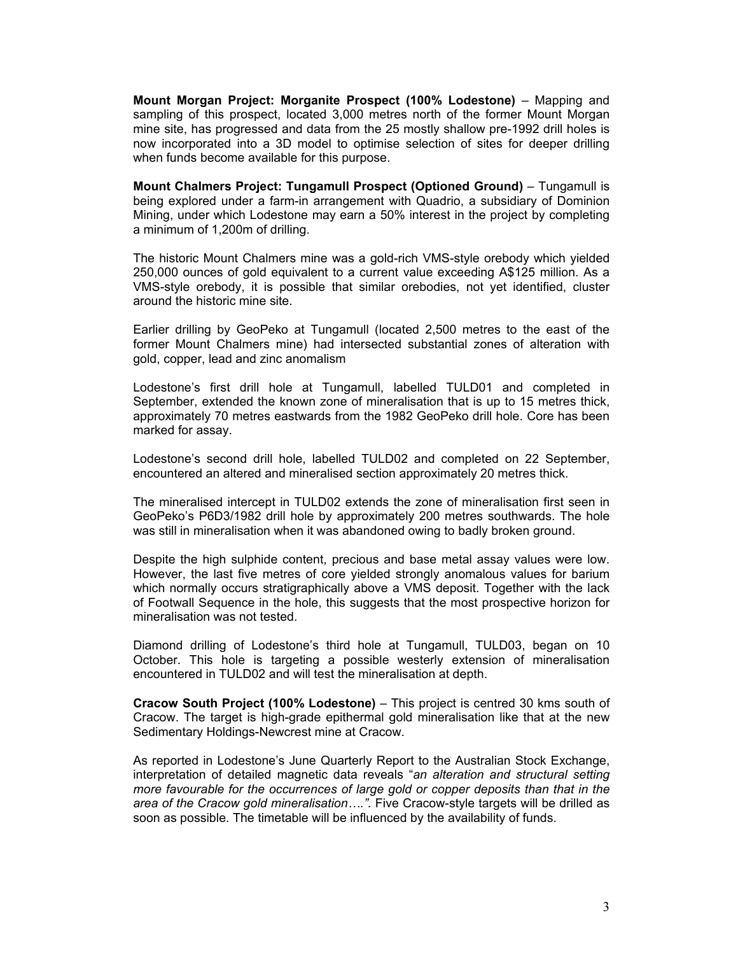**Mount Morgan Project: Morganite Prospect (100% Lodestone)** – Mapping and sampling of this prospect, located 3,000 metres north of the former Mount Morgan mine site, has progressed and data from the 25 mostly shallow pre-1992 drill holes is now incorporated into a 3D model to optimise selection of sites for deeper drilling when funds become available for this purpose.

**Mount Chalmers Project: Tungamull Prospect (Optioned Ground)** – Tungamull is being explored under a farm-in arrangement with Quadrio, a subsidiary of Dominion Mining, under which Lodestone may earn a 50% interest in the project by completing a minimum of 1,200m of drilling.

The historic Mount Chalmers mine was a gold-rich VMS-style orebody which yielded 250,000 ounces of gold equivalent to a current value exceeding A\$125 million. As a VMS-style orebody, it is possible that similar orebodies, not yet identified, cluster around the historic mine site.

Earlier drilling by GeoPeko at Tungamull (located 2,500 metres to the east of the former Mount Chalmers mine) had intersected substantial zones of alteration with gold, copper, lead and zinc anomalism

Lodestone's first drill hole at Tungamull, labelled TULD01 and completed in September, extended the known zone of mineralisation that is up to 15 metres thick, approximately 70 metres eastwards from the 1982 GeoPeko drill hole. Core has been marked for assay.

Lodestone's second drill hole, labelled TULD02 and completed on 22 September, encountered an altered and mineralised section approximately 20 metres thick.

The mineralised intercept in TULD02 extends the zone of mineralisation first seen in GeoPeko's P6D3/1982 drill hole by approximately 200 metres southwards. The hole was still in mineralisation when it was abandoned owing to badly broken ground.

Despite the high sulphide content, precious and base metal assay values were low. However, the last five metres of core yielded strongly anomalous values for barium which normally occurs stratigraphically above a VMS deposit. Together with the lack of Footwall Sequence in the hole, this suggests that the most prospective horizon for mineralisation was not tested.

Diamond drilling of Lodestone's third hole at Tungamull, TULD03, began on 10 October. This hole is targeting a possible westerly extension of mineralisation encountered in TULD02 and will test the mineralisation at depth.

**Cracow South Project (100% Lodestone)** – This project is centred 30 kms south of Cracow. The target is high-grade epithermal gold mineralisation like that at the new Sedimentary Holdings-Newcrest mine at Cracow.

As reported in Lodestone's June Quarterly Report to the Australian Stock Exchange, interpretation of detailed magnetic data reveals "*an alteration and structural setting more favourable for the occurrences of large gold or copper deposits than that in the area of the Cracow gold mineralisation….".* Five Cracow-style targets will be drilled as soon as possible. The timetable will be influenced by the availability of funds.